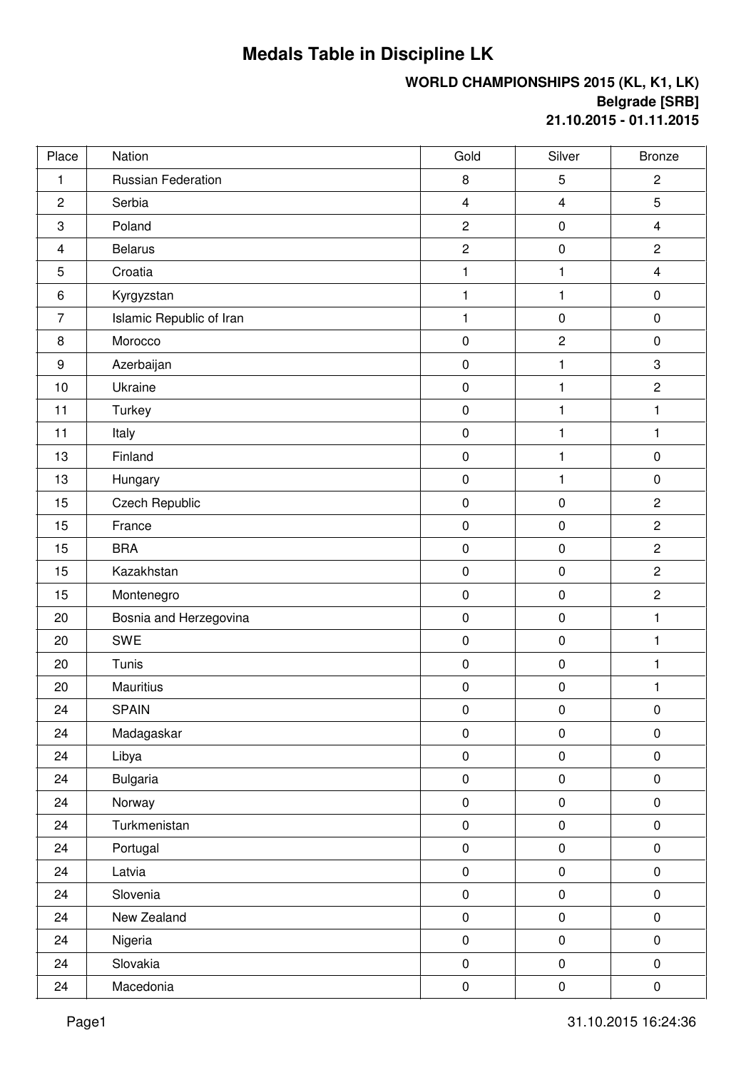## **Medals Table in Discipline LK**

## **WORLD CHAMPIONSHIPS 2015 (KL, K1, LK) Belgrade [SRB] 21.10.2015 - 01.11.2015**

| Place            | Nation                    | Gold                    | Silver                  | <b>Bronze</b>           |
|------------------|---------------------------|-------------------------|-------------------------|-------------------------|
| 1                | <b>Russian Federation</b> | 8                       | 5                       | $\overline{c}$          |
| $\overline{2}$   | Serbia                    | $\overline{\mathbf{4}}$ | $\overline{\mathbf{4}}$ | 5                       |
| 3                | Poland                    | $\mathbf 2$             | $\pmb{0}$               | $\overline{\mathbf{4}}$ |
| 4                | <b>Belarus</b>            | $\overline{2}$          | $\pmb{0}$               | $\overline{2}$          |
| 5                | Croatia                   | 1                       | $\mathbf{1}$            | $\overline{\mathbf{4}}$ |
| $6\phantom{1}6$  | Kyrgyzstan                | $\mathbf{1}$            | 1                       | $\pmb{0}$               |
| 7                | Islamic Republic of Iran  | $\mathbf{1}$            | $\pmb{0}$               | $\pmb{0}$               |
| 8                | Morocco                   | $\pmb{0}$               | $\overline{c}$          | $\pmb{0}$               |
| $\boldsymbol{9}$ | Azerbaijan                | $\pmb{0}$               | $\mathbf{1}$            | 3                       |
| 10               | Ukraine                   | $\pmb{0}$               | $\mathbf{1}$            | $\overline{2}$          |
| 11               | Turkey                    | $\pmb{0}$               | $\mathbf{1}$            | 1                       |
| 11               | Italy                     | $\pmb{0}$               | $\mathbf{1}$            | $\mathbf{1}$            |
| 13               | Finland                   | $\pmb{0}$               | 1                       | $\pmb{0}$               |
| 13               | Hungary                   | $\pmb{0}$               | $\mathbf{1}$            | $\pmb{0}$               |
| 15               | <b>Czech Republic</b>     | $\pmb{0}$               | $\pmb{0}$               | $\overline{2}$          |
| 15               | France                    | $\pmb{0}$               | $\pmb{0}$               | $\overline{2}$          |
| 15               | <b>BRA</b>                | $\pmb{0}$               | $\pmb{0}$               | $\overline{2}$          |
| 15               | Kazakhstan                | $\pmb{0}$               | $\pmb{0}$               | $\overline{c}$          |
| 15               | Montenegro                | $\pmb{0}$               | $\pmb{0}$               | $\overline{c}$          |
| 20               | Bosnia and Herzegovina    | $\pmb{0}$               | $\pmb{0}$               | 1                       |
| 20               | <b>SWE</b>                | $\pmb{0}$               | $\pmb{0}$               | 1                       |
| 20               | Tunis                     | $\pmb{0}$               | $\pmb{0}$               | $\mathbf{1}$            |
| 20               | <b>Mauritius</b>          | $\pmb{0}$               | $\pmb{0}$               | $\mathbf{1}$            |
| 24               | <b>SPAIN</b>              | $\pmb{0}$               | $\pmb{0}$               | $\pmb{0}$               |
| 24               | Madagaskar                | $\pmb{0}$               | $\pmb{0}$               | $\pmb{0}$               |
| 24               | Libya                     | $\pmb{0}$               | $\pmb{0}$               | $\pmb{0}$               |
| 24               | <b>Bulgaria</b>           | $\pmb{0}$               | $\pmb{0}$               | $\pmb{0}$               |
| 24               | Norway                    | $\pmb{0}$               | $\pmb{0}$               | $\pmb{0}$               |
| 24               | Turkmenistan              | $\pmb{0}$               | $\pmb{0}$               | $\pmb{0}$               |
| 24               | Portugal                  | $\pmb{0}$               | $\pmb{0}$               | $\pmb{0}$               |
| 24               | Latvia                    | $\pmb{0}$               | $\pmb{0}$               | $\pmb{0}$               |
| 24               | Slovenia                  | $\pmb{0}$               | $\pmb{0}$               | $\pmb{0}$               |
| 24               | New Zealand               | $\mathsf 0$             | $\pmb{0}$               | $\pmb{0}$               |
| 24               | Nigeria                   | $\pmb{0}$               | $\pmb{0}$               | $\pmb{0}$               |
| 24               | Slovakia                  | $\mathsf 0$             | $\pmb{0}$               | $\pmb{0}$               |
| 24               | Macedonia                 | $\pmb{0}$               | $\pmb{0}$               | $\pmb{0}$               |